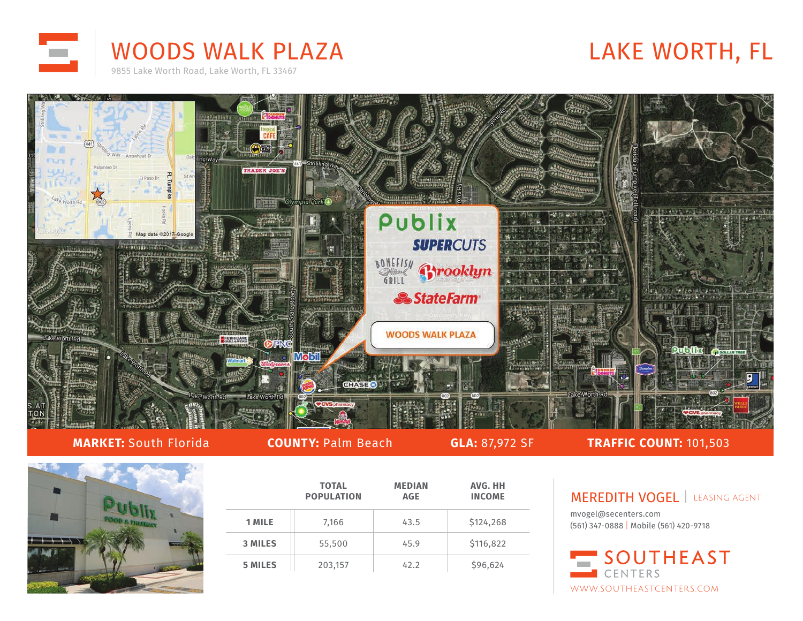



## **MARKET:** South Florida **COUNTY:** Palm Beach **GLA:** 87,972 SF **TRAFFIC COUNT:** 101,503



|                | <b>TOTAL</b><br><b>POPULATION</b> | <b>MEDIAN</b><br><b>AGE</b> | AVG. HH<br><b>INCOME</b> |
|----------------|-----------------------------------|-----------------------------|--------------------------|
| 1 MILE         | 7,166                             | 43.5                        | \$124,268                |
| <b>3 MILES</b> | 55,500                            | 45.9                        | \$116,822                |
| <b>5 MILES</b> | 203,157                           | 42.2                        | \$96,624                 |

MEREDITH VOGEL | LEASING AGENT

mvogel@secenters.com (561) 347-0888 | Mobile (561) 420-9718